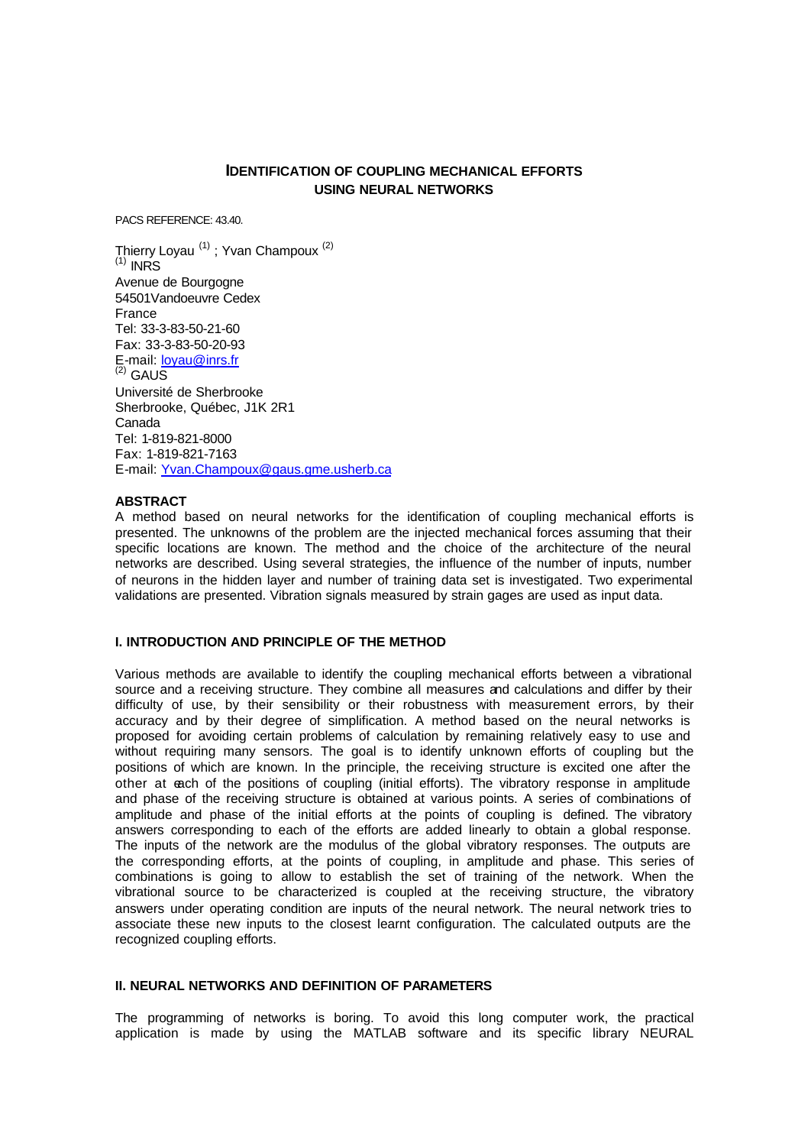# **IDENTIFICATION OF COUPLING MECHANICAL EFFORTS USING NEURAL NETWORKS**

PACS REFERENCE: 43.40.

Thierry Loyau <sup>(1)</sup>; Yvan Champoux <sup>(2)</sup>  $<sup>(1)</sup>$  INRS</sup> Avenue de Bourgogne 54501Vandoeuvre Cedex France Tel: 33-3-83-50-21-60 Fax: 33-3-83-50-20-93 E-mail: loyau@inrs.fr  $(2)$  GAUS Université de Sherbrooke Sherbrooke, Québec, J1K 2R1 Canada Tel: 1-819-821-8000 Fax: 1-819-821-7163 E-mail: Yvan.Champoux@gaus.gme.usherb.ca

### **ABSTRACT**

A method based on neural networks for the identification of coupling mechanical efforts is presented. The unknowns of the problem are the injected mechanical forces assuming that their specific locations are known. The method and the choice of the architecture of the neural networks are described. Using several strategies, the influence of the number of inputs, number of neurons in the hidden layer and number of training data set is investigated. Two experimental validations are presented. Vibration signals measured by strain gages are used as input data.

#### **I. INTRODUCTION AND PRINCIPLE OF THE METHOD**

Various methods are available to identify the coupling mechanical efforts between a vibrational source and a receiving structure. They combine all measures and calculations and differ by their difficulty of use, by their sensibility or their robustness with measurement errors, by their accuracy and by their degree of simplification. A method based on the neural networks is proposed for avoiding certain problems of calculation by remaining relatively easy to use and without requiring many sensors. The goal is to identify unknown efforts of coupling but the positions of which are known. In the principle, the receiving structure is excited one after the other at each of the positions of coupling (initial efforts). The vibratory response in amplitude and phase of the receiving structure is obtained at various points. A series of combinations of amplitude and phase of the initial efforts at the points of coupling is defined. The vibratory answers corresponding to each of the efforts are added linearly to obtain a global response. The inputs of the network are the modulus of the global vibratory responses. The outputs are the corresponding efforts, at the points of coupling, in amplitude and phase. This series of combinations is going to allow to establish the set of training of the network. When the vibrational source to be characterized is coupled at the receiving structure, the vibratory answers under operating condition are inputs of the neural network. The neural network tries to associate these new inputs to the closest learnt configuration. The calculated outputs are the recognized coupling efforts.

### **II. NEURAL NETWORKS AND DEFINITION OF PARAMETERS**

The programming of networks is boring. To avoid this long computer work, the practical application is made by using the MATLAB software and its specific library NEURAL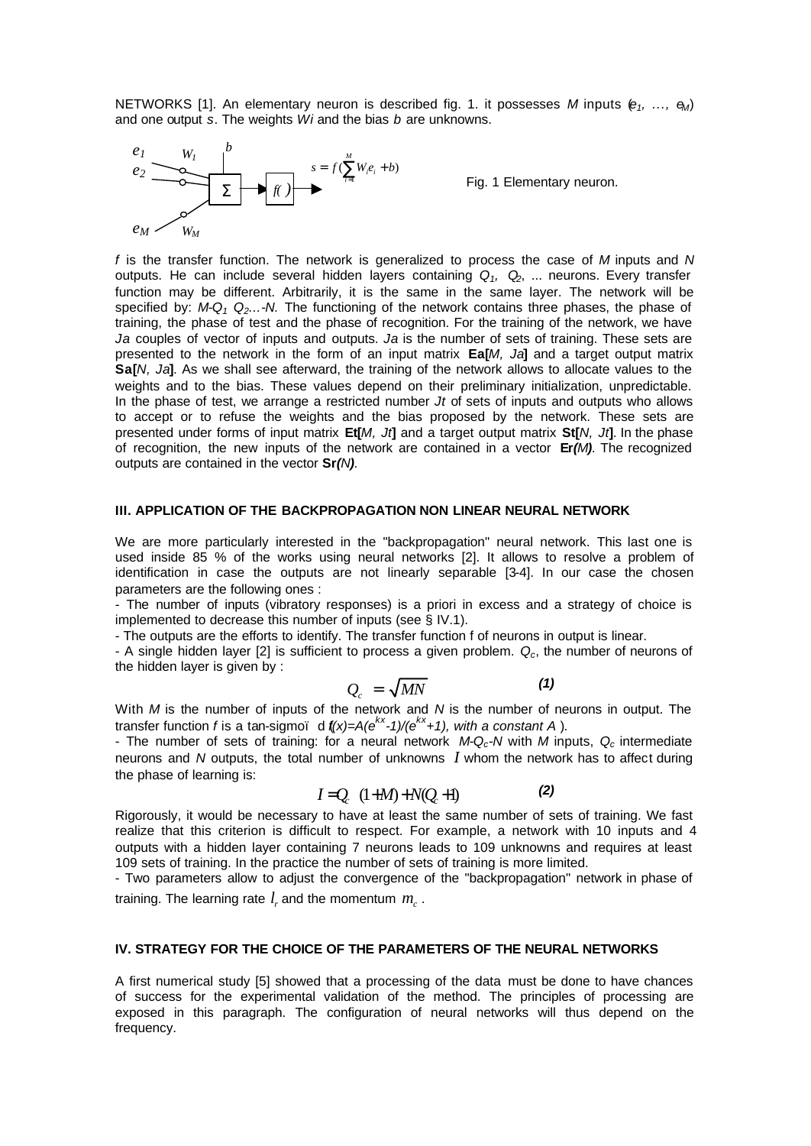NETWORKS [1]. An elementary neuron is described fig. 1. it possesses *M* inputs (*e1, ..., eM*) and one output *s*. The weights *Wi* and the bias *b* are unknowns.



Fig. 1 Elementary neuron.

*f* is the transfer function. The network is generalized to process the case of *M* inputs and *N* outputs. He can include several hidden layers containing *Q1, Q2*, ... neurons. Every transfer function may be different. Arbitrarily, it is the same in the same layer. The network will be specified by: *M-Q1 Q2...-N.* The functioning of the network contains three phases, the phase of training, the phase of test and the phase of recognition. For the training of the network, we have *Ja* couples of vector of inputs and outputs. *Ja* is the number of sets of training. These sets are presented to the network in the form of an input matrix **Ea[***M, Ja***]** and a target output matrix **Sa[***N, Ja***]**. As we shall see afterward, the training of the network allows to allocate values to the weights and to the bias. These values depend on their preliminary initialization, unpredictable. In the phase of test, we arrange a restricted number *Jt* of sets of inputs and outputs who allows to accept or to refuse the weights and the bias proposed by the network. These sets are presented under forms of input matrix **Et[***M, Jt***]** and a target output matrix **St[***N, Jt***]**. In the phase of recognition, the new inputs of the network are contained in a vector **Er***(M)*. The recognized outputs are contained in the vector **Sr***(N)*.

#### **III. APPLICATION OF THE BACKPROPAGATION NON LINEAR NEURAL NETWORK**

We are more particularly interested in the "backpropagation" neural network. This last one is used inside 85 % of the works using neural networks [2]. It allows to resolve a problem of identification in case the outputs are not linearly separable [3-4]. In our case the chosen parameters are the following ones :

- The number of inputs (vibratory responses) is a priori in excess and a strategy of choice is implemented to decrease this number of inputs (see § IV.1).

- The outputs are the efforts to identify. The transfer function f of neurons in output is linear.

- A single hidden layer [2] is sufficient to process a given problem. *Qc*, the number of neurons of the hidden layer is given by :

$$
Q_c = \sqrt{MN} \tag{1}
$$

With *M* is the number of inputs of the network and *N* is the number of neurons in output. The transfer function *f* is a tan-sigmoï d (*f(x)=A(ekx -1)/(ekx+1), with a constant A* ).

- The number of sets of training: for a neural network *M-Qc-N* with *M* inputs, *Qc* intermediate neurons and *N* outputs, the total number of unknowns *I* whom the network has to affect during the phase of learning is:

$$
I = Q_c \quad (1 + M) + N(Q_c + 1)
$$
 (2)

Rigorously, it would be necessary to have at least the same number of sets of training. We fast realize that this criterion is difficult to respect. For example, a network with 10 inputs and 4 outputs with a hidden layer containing 7 neurons leads to 109 unknowns and requires at least 109 sets of training. In the practice the number of sets of training is more limited.

- Two parameters allow to adjust the convergence of the "backpropagation" network in phase of training. The learning rate  $l_r$  and the momentum  $m_c^+$ .

## **IV. STRATEGY FOR THE CHOICE OF THE PARAMETERS OF THE NEURAL NETWORKS**

A first numerical study [5] showed that a processing of the data must be done to have chances of success for the experimental validation of the method. The principles of processing are exposed in this paragraph. The configuration of neural networks will thus depend on the frequency.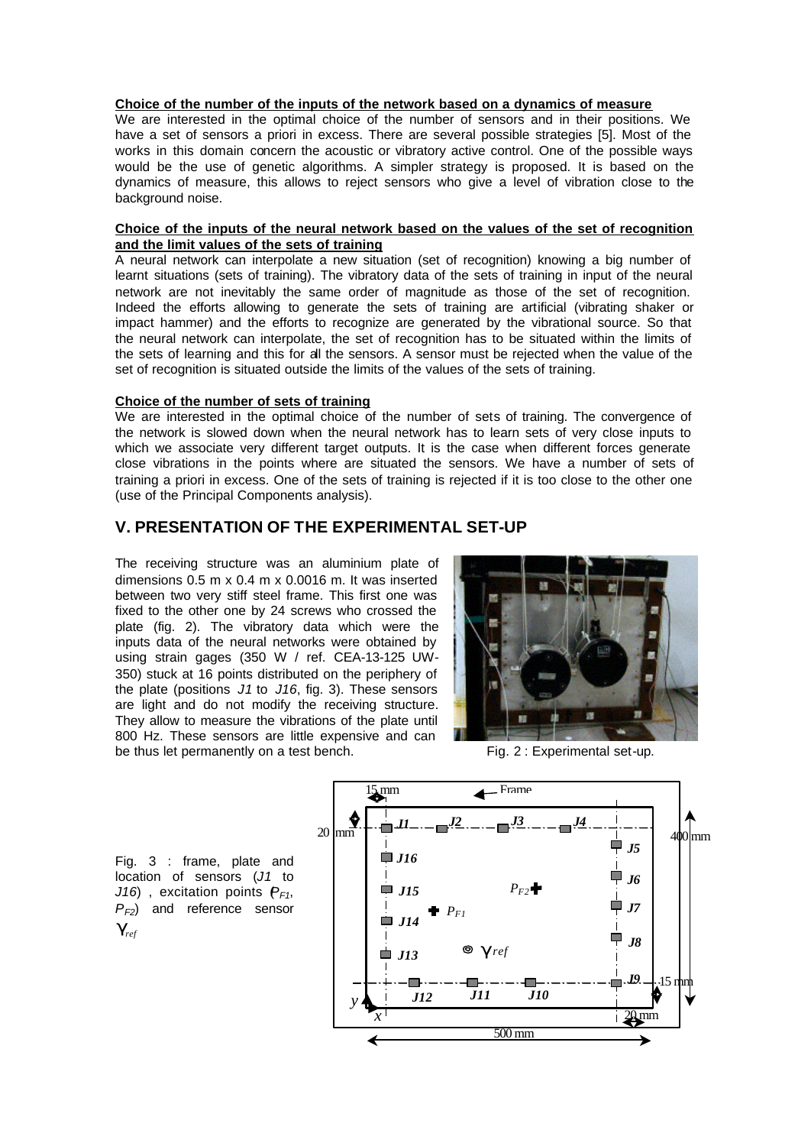### **Choice of the number of the inputs of the network based on a dynamics of measure**

We are interested in the optimal choice of the number of sensors and in their positions. We have a set of sensors a priori in excess. There are several possible strategies [5]. Most of the works in this domain concern the acoustic or vibratory active control. One of the possible ways would be the use of genetic algorithms. A simpler strategy is proposed. It is based on the dynamics of measure, this allows to reject sensors who give a level of vibration close to the background noise.

## **Choice of the inputs of the neural network based on the values of the set of recognition and the limit values of the sets of training**

A neural network can interpolate a new situation (set of recognition) knowing a big number of learnt situations (sets of training). The vibratory data of the sets of training in input of the neural network are not inevitably the same order of magnitude as those of the set of recognition. Indeed the efforts allowing to generate the sets of training are artificial (vibrating shaker or impact hammer) and the efforts to recognize are generated by the vibrational source. So that the neural network can interpolate, the set of recognition has to be situated within the limits of the sets of learning and this for all the sensors. A sensor must be rejected when the value of the set of recognition is situated outside the limits of the values of the sets of training.

### **Choice of the number of sets of training**

We are interested in the optimal choice of the number of sets of training. The convergence of the network is slowed down when the neural network has to learn sets of very close inputs to which we associate very different target outputs. It is the case when different forces generate close vibrations in the points where are situated the sensors. We have a number of sets of training a priori in excess. One of the sets of training is rejected if it is too close to the other one (use of the Principal Components analysis).

# **V. PRESENTATION OF THE EXPERIMENTAL SET-UP**

The receiving structure was an aluminium plate of dimensions 0.5 m x 0.4 m x 0.0016 m. It was inserted between two very stiff steel frame. This first one was fixed to the other one by 24 screws who crossed the plate (fig. 2). The vibratory data which were the inputs data of the neural networks were obtained by using strain gages (350 W / ref. CEA-13-125 UW-350) stuck at 16 points distributed on the periphery of the plate (positions *J1* to *J16*, fig. 3). These sensors are light and do not modify the receiving structure. They allow to measure the vibrations of the plate until 800 Hz. These sensors are little expensive and can be thus let permanently on a test bench. Fig. 2 : Experimental set-up.



15 mm Frame $20 \text{ mm}$ *J2 J<sub>3</sub> J<sub>4</sub> J<sub>4</sub>* Ξ 400 mm *J5 J16 J6*  $\overline{\phantom{a}}$ *PF2 J15 J7 PF1 J14 J8 g ref* ▅ *J13 J9* <sup>.</sup>15 **դ**որ *J12 J11 J10 y* 20 mm *x* 500 mm

Fig. 3 : frame, plate and location of sensors (*J1* to *J16*), excitation points  $P_{F1}$ , *PF2*) and reference sensor  $g_{ref}$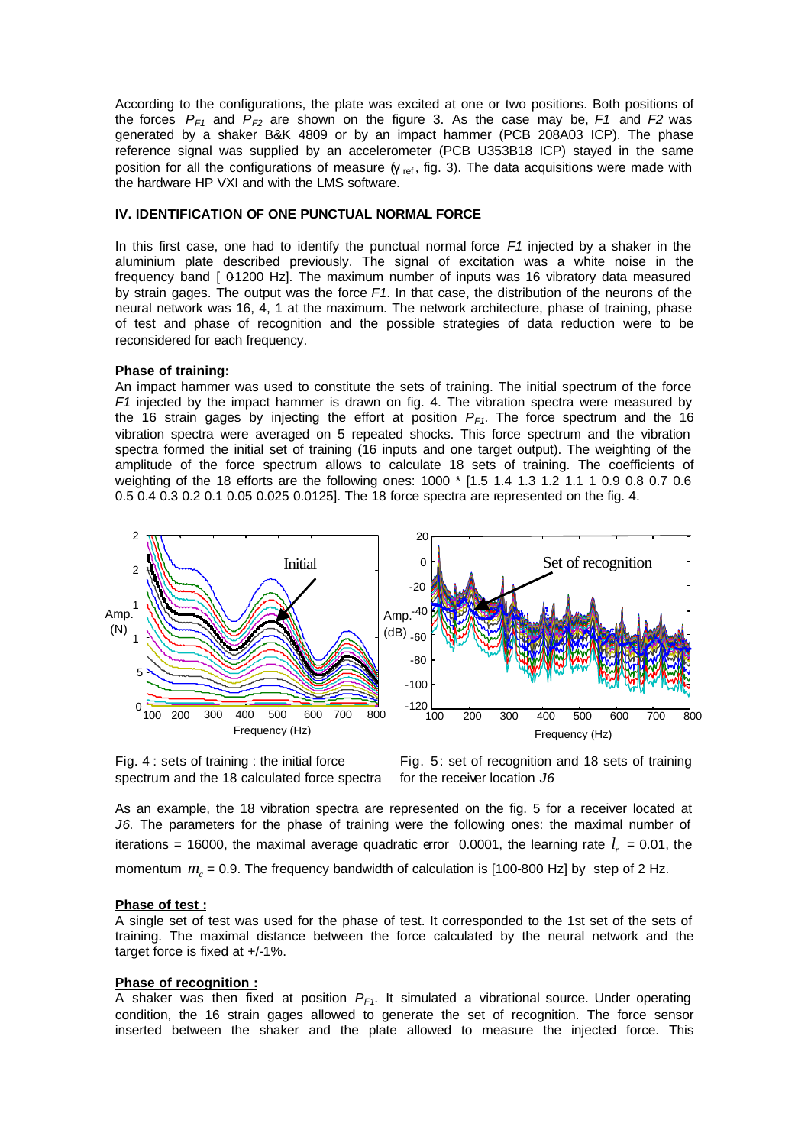According to the configurations, the plate was excited at one or two positions. Both positions of the forces  $P_{F1}$  and  $P_{F2}$  are shown on the figure 3. As the case may be,  $F1$  and  $F2$  was generated by a shaker B&K 4809 or by an impact hammer (PCB 208A03 ICP). The phase reference signal was supplied by an accelerometer (PCB U353B18 ICP) stayed in the same position for all the configurations of measure  $\gamma_{ref}$ , fig. 3). The data acquisitions were made with the hardware HP VXI and with the LMS software.

## **IV. IDENTIFICATION OF ONE PUNCTUAL NORMAL FORCE**

In this first case, one had to identify the punctual normal force *F1* injected by a shaker in the aluminium plate described previously. The signal of excitation was a white noise in the frequency band [ 0-1200 Hz]. The maximum number of inputs was 16 vibratory data measured by strain gages. The output was the force *F1*. In that case, the distribution of the neurons of the neural network was 16, 4, 1 at the maximum. The network architecture, phase of training, phase of test and phase of recognition and the possible strategies of data reduction were to be reconsidered for each frequency.

### **Phase of training:**

An impact hammer was used to constitute the sets of training. The initial spectrum of the force *F1* injected by the impact hammer is drawn on fig. 4. The vibration spectra were measured by the 16 strain gages by injecting the effort at position  $P_{F1}$ . The force spectrum and the 16 vibration spectra were averaged on 5 repeated shocks. This force spectrum and the vibration spectra formed the initial set of training (16 inputs and one target output). The weighting of the amplitude of the force spectrum allows to calculate 18 sets of training. The coefficients of weighting of the 18 efforts are the following ones: 1000 \* [1.5 1.4 1.3 1.2 1.1 1 0.9 0.8 0.7 0.6 0.5 0.4 0.3 0.2 0.1 0.05 0.025 0.0125]. The 18 force spectra are represented on the fig. 4.





Fig. 5: set of recognition and 18 sets of training for the receiver location *J6*

As an example, the 18 vibration spectra are represented on the fig. 5 for a receiver located at *J6*. The parameters for the phase of training were the following ones: the maximal number of iterations = 16000, the maximal average quadratic error 0.0001, the learning rate  $l_r$  = 0.01, the momentum  $m_c$  = 0.9. The frequency bandwidth of calculation is [100-800 Hz] by step of 2 Hz.

#### **Phase of test :**

A single set of test was used for the phase of test. It corresponded to the 1st set of the sets of training. The maximal distance between the force calculated by the neural network and the target force is fixed at +/-1%.

#### **Phase of recognition :**

A shaker was then fixed at position *PF1*. It simulated a vibrational source. Under operating condition, the 16 strain gages allowed to generate the set of recognition. The force sensor inserted between the shaker and the plate allowed to measure the injected force. This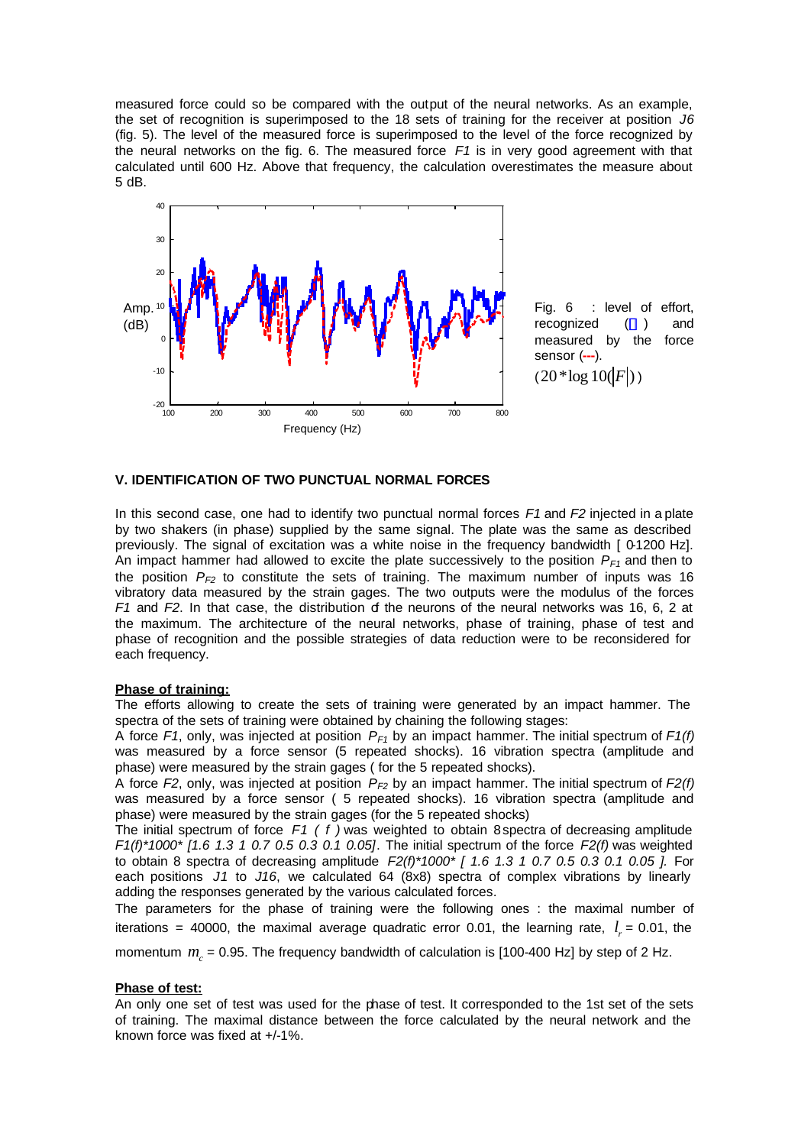measured force could so be compared with the output of the neural networks. As an example, the set of recognition is superimposed to the 18 sets of training for the receiver at position *J6* (fig. 5). The level of the measured force is superimposed to the level of the force recognized by the neural networks on the fig. 6. The measured force *F1* is in very good agreement with that calculated until 600 Hz. Above that frequency, the calculation overestimates the measure about 5 dB.



### **V. IDENTIFICATION OF TWO PUNCTUAL NORMAL FORCES**

In this second case, one had to identify two punctual normal forces *F1* and *F2* injected in a plate by two shakers (in phase) supplied by the same signal. The plate was the same as described previously. The signal of excitation was a white noise in the frequency bandwidth [ 0-1200 Hz]. An impact hammer had allowed to excite the plate successively to the position *PF1* and then to the position  $P_{F2}$  to constitute the sets of training. The maximum number of inputs was 16 vibratory data measured by the strain gages. The two outputs were the modulus of the forces *F1* and *F2*. In that case, the distribution of the neurons of the neural networks was 16, 6, 2 at the maximum. The architecture of the neural networks, phase of training, phase of test and phase of recognition and the possible strategies of data reduction were to be reconsidered for each frequency.

#### **Phase of training:**

The efforts allowing to create the sets of training were generated by an impact hammer. The spectra of the sets of training were obtained by chaining the following stages:

A force *F1*, only, was injected at position *PF1* by an impact hammer. The initial spectrum of *F1(f)* was measured by a force sensor (5 repeated shocks). 16 vibration spectra (amplitude and phase) were measured by the strain gages ( for the 5 repeated shocks).

A force *F2*, only, was injected at position *PF2* by an impact hammer. The initial spectrum of *F2(f)* was measured by a force sensor ( 5 repeated shocks). 16 vibration spectra (amplitude and phase) were measured by the strain gages (for the 5 repeated shocks)

The initial spectrum of force *F1 ( f )* was weighted to obtain 8 spectra of decreasing amplitude *F1(f)\*1000\* [1.6 1.3 1 0.7 0.5 0.3 0.1 0.05]*. The initial spectrum of the force *F2(f)* was weighted to obtain 8 spectra of decreasing amplitude *F2(f)\*1000\* [ 1.6 1.3 1 0.7 0.5 0.3 0.1 0.05 ].* For each positions *J1* to *J16*, we calculated 64 (8x8) spectra of complex vibrations by linearly adding the responses generated by the various calculated forces*.*

The parameters for the phase of training were the following ones : the maximal number of iterations = 40000, the maximal average quadratic error 0.01, the learning rate,  $l_r$  = 0.01, the

momentum  $m_c$  = 0.95. The frequency bandwidth of calculation is [100-400 Hz] by step of 2 Hz.

#### **Phase of test:**

An only one set of test was used for the phase of test. It corresponded to the 1st set of the sets of training. The maximal distance between the force calculated by the neural network and the known force was fixed at +/-1%.